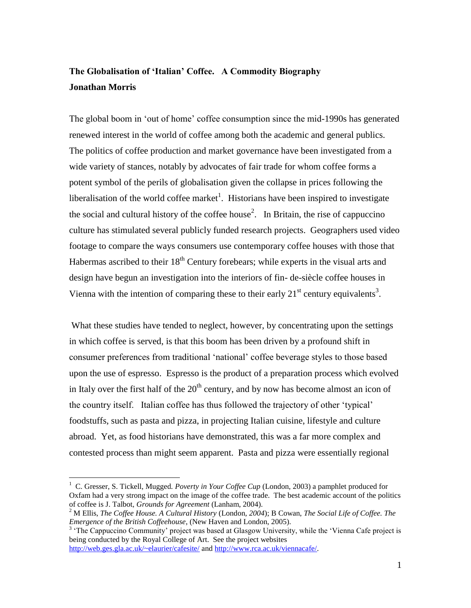# **The Globalisation of 'Italian' Coffee. A Commodity Biography Jonathan Morris**

The global boom in 'out of home' coffee consumption since the mid-1990s has generated renewed interest in the world of coffee among both the academic and general publics. The politics of coffee production and market governance have been investigated from a wide variety of stances, notably by advocates of fair trade for whom coffee forms a potent symbol of the perils of globalisation given the collapse in prices following the liberalisation of the world coffee market<sup>1</sup>. Historians have been inspired to investigate the social and cultural history of the coffee house<sup>2</sup>. In Britain, the rise of cappuccino culture has stimulated several publicly funded research projects. Geographers used video footage to compare the ways consumers use contemporary coffee houses with those that Habermas ascribed to their  $18<sup>th</sup>$  Century forebears; while experts in the visual arts and design have begun an investigation into the interiors of fin- de-siècle coffee houses in Vienna with the intention of comparing these to their early  $21<sup>st</sup>$  century equivalents<sup>3</sup>.

What these studies have tended to neglect, however, by concentrating upon the settings in which coffee is served, is that this boom has been driven by a profound shift in consumer preferences from traditional 'national' coffee beverage styles to those based upon the use of espresso. Espresso is the product of a preparation process which evolved in Italy over the first half of the  $20<sup>th</sup>$  century, and by now has become almost an icon of the country itself. Italian coffee has thus followed the trajectory of other 'typical' foodstuffs, such as pasta and pizza, in projecting Italian cuisine, lifestyle and culture abroad. Yet, as food historians have demonstrated, this was a far more complex and contested process than might seem apparent. Pasta and pizza were essentially regional

<sup>&</sup>lt;sup>1</sup> C. Gresser, S. Tickell, Mugged. Poverty in Your Coffee Cup (London, 2003) a pamphlet produced for Oxfam had a very strong impact on the image of the coffee trade. The best academic account of the politics of coffee is J. Talbot, *Grounds for Agreement* (Lanham, 2004).

<sup>2</sup> M Ellis, *The Coffee House. A Cultural History* (London*, 2004*); B Cowan, *The Social Life of Coffee. The Emergence of the British Coffeehouse*, (New Haven and London, 2005).

<sup>&</sup>lt;sup>3</sup> 'The Cappuccino Community' project was based at Glasgow University, while the 'Vienna Cafe project is being conducted by the Royal College of Art. See the project websites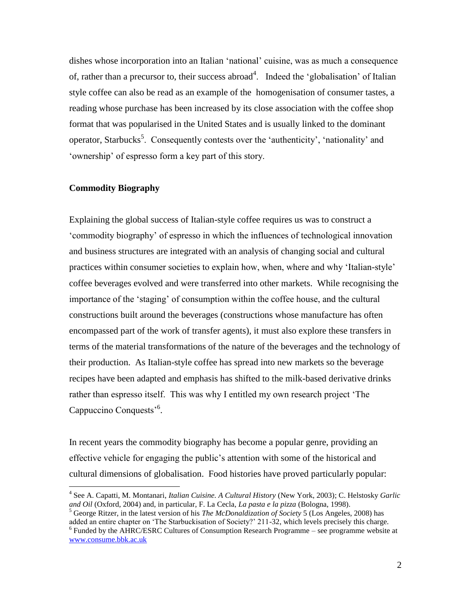dishes whose incorporation into an Italian 'national' cuisine, was as much a consequence of, rather than a precursor to, their success abroad<sup>4</sup>. Indeed the 'globalisation' of Italian style coffee can also be read as an example of the homogenisation of consumer tastes, a reading whose purchase has been increased by its close association with the coffee shop format that was popularised in the United States and is usually linked to the dominant operator, Starbucks<sup>5</sup>. Consequently contests over the 'authenticity', 'nationality' and 'ownership' of espresso form a key part of this story.

# **Commodity Biography**

 $\overline{a}$ 

Explaining the global success of Italian-style coffee requires us was to construct a 'commodity biography' of espresso in which the influences of technological innovation and business structures are integrated with an analysis of changing social and cultural practices within consumer societies to explain how, when, where and why 'Italian-style' coffee beverages evolved and were transferred into other markets. While recognising the importance of the 'staging' of consumption within the coffee house, and the cultural constructions built around the beverages (constructions whose manufacture has often encompassed part of the work of transfer agents), it must also explore these transfers in terms of the material transformations of the nature of the beverages and the technology of their production. As Italian-style coffee has spread into new markets so the beverage recipes have been adapted and emphasis has shifted to the milk-based derivative drinks rather than espresso itself. This was why I entitled my own research project 'The Cappuccino Conquests<sup>56</sup>.

In recent years the commodity biography has become a popular genre, providing an effective vehicle for engaging the public's attention with some of the historical and cultural dimensions of globalisation. Food histories have proved particularly popular:

<sup>4</sup> See A. Capatti, M. Montanari, *Italian Cuisine. A Cultural History* (New York, 2003); C. Helstosky *Garlic and Oil* (Oxford, 2004) and, in particular, F. La Cecla, *La pasta e la pizza* (Bologna, 1998).

<sup>5</sup> George Ritzer, in the latest version of his *The McDonaldization of Society* 5 (Los Angeles, 2008) has added an entire chapter on 'The Starbuckisation of Society?' 211-32, which levels precisely this charge.

<sup>&</sup>lt;sup>6</sup> Funded by the AHRC/ESRC Cultures of Consumption Research Programme – see programme website at [www.consume.bbk.ac.uk](http://www.consume.bbk.ac.uk/)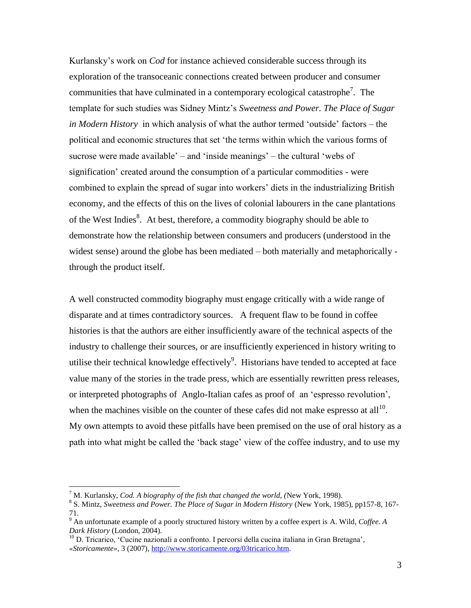Kurlansky's work on *Cod* for instance achieved considerable success through its exploration of the transoceanic connections created between producer and consumer communities that have culminated in a contemporary ecological catastrophe<sup>7</sup>. The template for such studies was Sidney Mintz's *Sweetness and Power. The Place of Sugar in Modern History* in which analysis of what the author termed 'outside' factors – the political and economic structures that set 'the terms within which the various forms of sucrose were made available' – and 'inside meanings' – the cultural 'webs of signification' created around the consumption of a particular commodities - were combined to explain the spread of sugar into workers' diets in the industrializing British economy, and the effects of this on the lives of colonial labourers in the cane plantations of the West Indies<sup>8</sup>. At best, therefore, a commodity biography should be able to demonstrate how the relationship between consumers and producers (understood in the widest sense) around the globe has been mediated – both materially and metaphorically through the product itself.

A well constructed commodity biography must engage critically with a wide range of disparate and at times contradictory sources. A frequent flaw to be found in coffee histories is that the authors are either insufficiently aware of the technical aspects of the industry to challenge their sources, or are insufficiently experienced in history writing to utilise their technical knowledge effectively $9$ . Historians have tended to accepted at face value many of the stories in the trade press, which are essentially rewritten press releases, or interpreted photographs of Anglo-Italian cafes as proof of an 'espresso revolution', when the machines visible on the counter of these cafes did not make espresso at all<sup>10</sup>. My own attempts to avoid these pitfalls have been premised on the use of oral history as a path into what might be called the 'back stage' view of the coffee industry, and to use my

 $^7$  M. Kurlansky, *Cod. A biography of the fish that changed the world*, (New York, 1998).

<sup>8</sup> S. Mintz, *Sweetness and Power. The Place of Sugar in Modern History* (New York, 1985), pp157-8, 167- 71.

<sup>9</sup> An unfortunate example of a poorly structured history written by a coffee expert is A. Wild, *Coffee. A Dark History* (London, 2004).

<sup>&</sup>lt;sup>10</sup> D. Tricarico, 'Cucine nazionali a confronto. I percorsi della cucina italiana in Gran Bretagna', *«Storicamente»*, 3 (2007), [http://www.storicamente.org/03tricarico.htm.](http://www.storicamente.org/03tricarico.htm)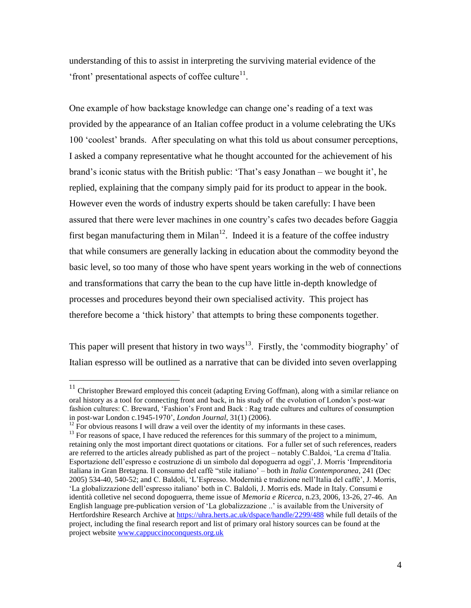understanding of this to assist in interpreting the surviving material evidence of the 'front' presentational aspects of coffee culture $11$ .

One example of how backstage knowledge can change one's reading of a text was provided by the appearance of an Italian coffee product in a volume celebrating the UKs 100 'coolest' brands. After speculating on what this told us about consumer perceptions, I asked a company representative what he thought accounted for the achievement of his brand's iconic status with the British public: 'That's easy Jonathan – we bought it', he replied, explaining that the company simply paid for its product to appear in the book. However even the words of industry experts should be taken carefully: I have been assured that there were lever machines in one country's cafes two decades before Gaggia first began manufacturing them in Milan<sup>12</sup>. Indeed it is a feature of the coffee industry that while consumers are generally lacking in education about the commodity beyond the basic level, so too many of those who have spent years working in the web of connections and transformations that carry the bean to the cup have little in-depth knowledge of processes and procedures beyond their own specialised activity. This project has therefore become a 'thick history' that attempts to bring these components together.

This paper will present that history in two ways<sup>13</sup>. Firstly, the 'commodity biography' of Italian espresso will be outlined as a narrative that can be divided into seven overlapping

 $11$  Christopher Breward employed this conceit (adapting Erving Goffman), along with a similar reliance on oral history as a tool for connecting front and back, in his study of the evolution of London's post-war fashion cultures: C. Breward, 'Fashion's Front and Back : Rag trade cultures and cultures of consumption in post-war London c.1945-1970', *London Journal*, 31(1) (2006).

 $12$  For obvious reasons I will draw a veil over the identity of my informants in these cases.

 $13$  For reasons of space, I have reduced the references for this summary of the project to a minimum, retaining only the most important direct quotations or citations. For a fuller set of such references, readers are referred to the articles already published as part of the project – notably C.Baldoi, 'La crema d'Italia. Esportazione dell'espresso e costruzione di un simbolo dal dopoguerra ad oggi', J. Morris 'Imprenditoria italiana in Gran Bretagna. Il consumo del caffè "stile italiano' – both in *Italia Contemporanea*, 241 (Dec 2005) 534-40, 540-52; and C. Baldoli, 'L'Espresso. Modernità e tradizione nell'Italia del caffè', J. Morris, 'La globalizzazione dell'espresso italiano' both in C. Baldoli, J. Morris eds. Made in Italy. Consumi e identità colletive nel second dopoguerra, theme issue of *Memoria e Ricerca*, n.23, 2006, 13-26, 27-46. An English language pre-publication version of 'La globalizzazione ..' is available from the University of Hertfordshire Research Archive at<https://uhra.herts.ac.uk/dspace/handle/2299/488> while full details of the project, including the final research report and list of primary oral history sources can be found at the project website [www.cappuccinoconquests.org.uk](http://www.cappuccinoconquests.org.uk/)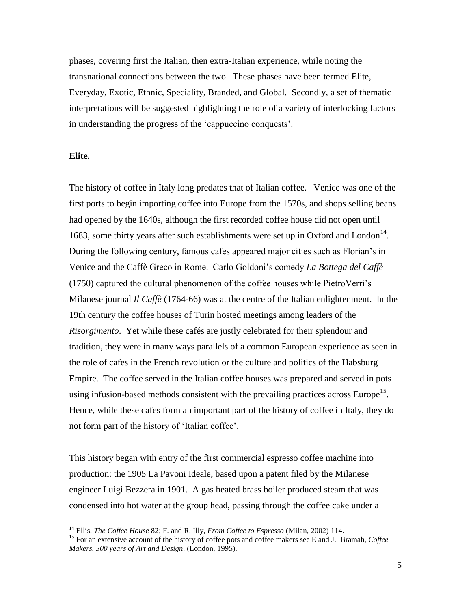phases, covering first the Italian, then extra-Italian experience, while noting the transnational connections between the two. These phases have been termed Elite, Everyday, Exotic, Ethnic, Speciality, Branded, and Global. Secondly, a set of thematic interpretations will be suggested highlighting the role of a variety of interlocking factors in understanding the progress of the 'cappuccino conquests'.

#### **Elite.**

 $\overline{a}$ 

The history of coffee in Italy long predates that of Italian coffee. Venice was one of the first ports to begin importing coffee into Europe from the 1570s, and shops selling beans had opened by the 1640s, although the first recorded coffee house did not open until 1683, some thirty years after such establishments were set up in Oxford and London<sup>14</sup>. During the following century, famous cafes appeared major cities such as Florian's in Venice and the Caffè Greco in Rome. Carlo Goldoni's comedy *La Bottega del Caffè* (1750) captured the cultural phenomenon of the coffee houses while PietroVerri's Milanese journal *Il Caffè* (1764-66) was at the centre of the Italian enlightenment. In the 19th century the coffee houses of Turin hosted meetings among leaders of the *Risorgimento*. Yet while these cafés are justly celebrated for their splendour and tradition, they were in many ways parallels of a common European experience as seen in the role of cafes in the French revolution or the culture and politics of the Habsburg Empire. The coffee served in the Italian coffee houses was prepared and served in pots using infusion-based methods consistent with the prevailing practices across Europe<sup>15</sup>. Hence, while these cafes form an important part of the history of coffee in Italy, they do not form part of the history of 'Italian coffee'.

This history began with entry of the first commercial espresso coffee machine into production: the 1905 La Pavoni Ideale, based upon a patent filed by the Milanese engineer Luigi Bezzera in 1901. A gas heated brass boiler produced steam that was condensed into hot water at the group head, passing through the coffee cake under a

<sup>14</sup> Ellis, *The Coffee House* 82; F. and R. Illy, *From Coffee to Espresso* (Milan, 2002) 114.

<sup>15</sup> For an extensive account of the history of coffee pots and coffee makers see E and J. Bramah, *Coffee Makers. 300 years of Art and Design*. (London, 1995).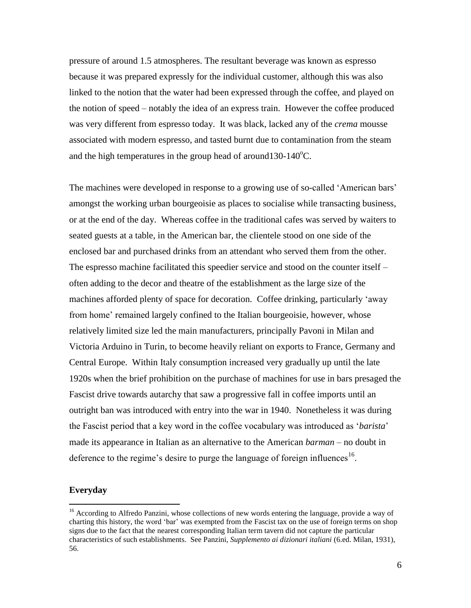pressure of around 1.5 atmospheres. The resultant beverage was known as espresso because it was prepared expressly for the individual customer, although this was also linked to the notion that the water had been expressed through the coffee, and played on the notion of speed – notably the idea of an express train. However the coffee produced was very different from espresso today. It was black, lacked any of the *crema* mousse associated with modern espresso, and tasted burnt due to contamination from the steam and the high temperatures in the group head of around  $130-140^{\circ}$ C.

The machines were developed in response to a growing use of so-called 'American bars' amongst the working urban bourgeoisie as places to socialise while transacting business, or at the end of the day. Whereas coffee in the traditional cafes was served by waiters to seated guests at a table, in the American bar, the clientele stood on one side of the enclosed bar and purchased drinks from an attendant who served them from the other. The espresso machine facilitated this speedier service and stood on the counter itself – often adding to the decor and theatre of the establishment as the large size of the machines afforded plenty of space for decoration. Coffee drinking, particularly 'away from home' remained largely confined to the Italian bourgeoisie, however, whose relatively limited size led the main manufacturers, principally Pavoni in Milan and Victoria Arduino in Turin, to become heavily reliant on exports to France, Germany and Central Europe. Within Italy consumption increased very gradually up until the late 1920s when the brief prohibition on the purchase of machines for use in bars presaged the Fascist drive towards autarchy that saw a progressive fall in coffee imports until an outright ban was introduced with entry into the war in 1940. Nonetheless it was during the Fascist period that a key word in the coffee vocabulary was introduced as '*barista*' made its appearance in Italian as an alternative to the American *barman* – no doubt in deference to the regime's desire to purge the language of foreign influences<sup>16</sup>.

## **Everyday**

<sup>&</sup>lt;sup>16</sup> According to Alfredo Panzini, whose collections of new words entering the language, provide a way of charting this history, the word 'bar' was exempted from the Fascist tax on the use of foreign terms on shop signs due to the fact that the nearest corresponding Italian term tavern did not capture the particular characteristics of such establishments. See Panzini, *Supplemento ai dizionari italiani* (6.ed. Milan, 1931), 56.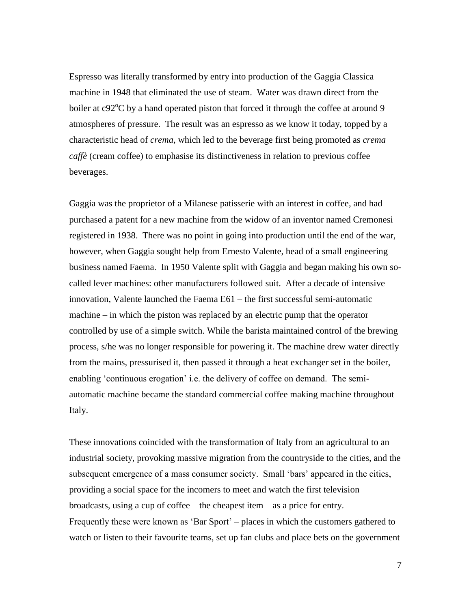Espresso was literally transformed by entry into production of the Gaggia Classica machine in 1948 that eliminated the use of steam. Water was drawn direct from the boiler at  $c92^{\circ}$ C by a hand operated piston that forced it through the coffee at around 9 atmospheres of pressure. The result was an espresso as we know it today, topped by a characteristic head of *crema*, which led to the beverage first being promoted as *crema caffè* (cream coffee) to emphasise its distinctiveness in relation to previous coffee beverages.

Gaggia was the proprietor of a Milanese patisserie with an interest in coffee, and had purchased a patent for a new machine from the widow of an inventor named Cremonesi registered in 1938. There was no point in going into production until the end of the war, however, when Gaggia sought help from Ernesto Valente, head of a small engineering business named Faema. In 1950 Valente split with Gaggia and began making his own socalled lever machines: other manufacturers followed suit. After a decade of intensive innovation, Valente launched the Faema E61 – the first successful semi-automatic machine – in which the piston was replaced by an electric pump that the operator controlled by use of a simple switch. While the barista maintained control of the brewing process, s/he was no longer responsible for powering it. The machine drew water directly from the mains, pressurised it, then passed it through a heat exchanger set in the boiler, enabling 'continuous erogation' i.e. the delivery of coffee on demand. The semiautomatic machine became the standard commercial coffee making machine throughout Italy.

These innovations coincided with the transformation of Italy from an agricultural to an industrial society, provoking massive migration from the countryside to the cities, and the subsequent emergence of a mass consumer society. Small 'bars' appeared in the cities, providing a social space for the incomers to meet and watch the first television broadcasts, using a cup of coffee – the cheapest item – as a price for entry. Frequently these were known as 'Bar Sport' – places in which the customers gathered to watch or listen to their favourite teams, set up fan clubs and place bets on the government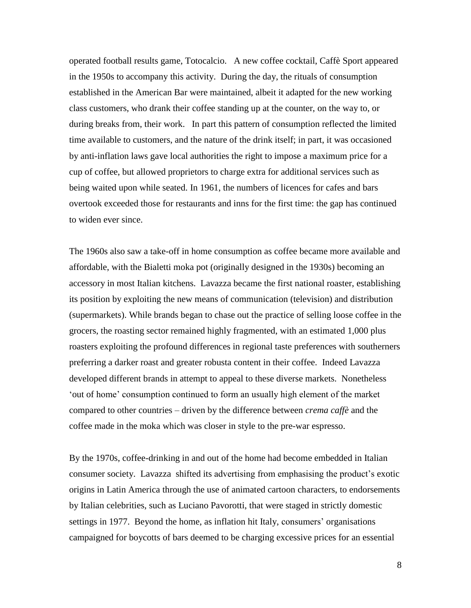operated football results game, Totocalcio. A new coffee cocktail, Caffè Sport appeared in the 1950s to accompany this activity. During the day, the rituals of consumption established in the American Bar were maintained, albeit it adapted for the new working class customers, who drank their coffee standing up at the counter, on the way to, or during breaks from, their work. In part this pattern of consumption reflected the limited time available to customers, and the nature of the drink itself; in part, it was occasioned by anti-inflation laws gave local authorities the right to impose a maximum price for a cup of coffee, but allowed proprietors to charge extra for additional services such as being waited upon while seated. In 1961, the numbers of licences for cafes and bars overtook exceeded those for restaurants and inns for the first time: the gap has continued to widen ever since.

The 1960s also saw a take-off in home consumption as coffee became more available and affordable, with the Bialetti moka pot (originally designed in the 1930s) becoming an accessory in most Italian kitchens. Lavazza became the first national roaster, establishing its position by exploiting the new means of communication (television) and distribution (supermarkets). While brands began to chase out the practice of selling loose coffee in the grocers, the roasting sector remained highly fragmented, with an estimated 1,000 plus roasters exploiting the profound differences in regional taste preferences with southerners preferring a darker roast and greater robusta content in their coffee. Indeed Lavazza developed different brands in attempt to appeal to these diverse markets. Nonetheless 'out of home' consumption continued to form an usually high element of the market compared to other countries – driven by the difference between *crema caffè* and the coffee made in the moka which was closer in style to the pre-war espresso.

By the 1970s, coffee-drinking in and out of the home had become embedded in Italian consumer society. Lavazza shifted its advertising from emphasising the product's exotic origins in Latin America through the use of animated cartoon characters, to endorsements by Italian celebrities, such as Luciano Pavorotti, that were staged in strictly domestic settings in 1977. Beyond the home, as inflation hit Italy, consumers' organisations campaigned for boycotts of bars deemed to be charging excessive prices for an essential

8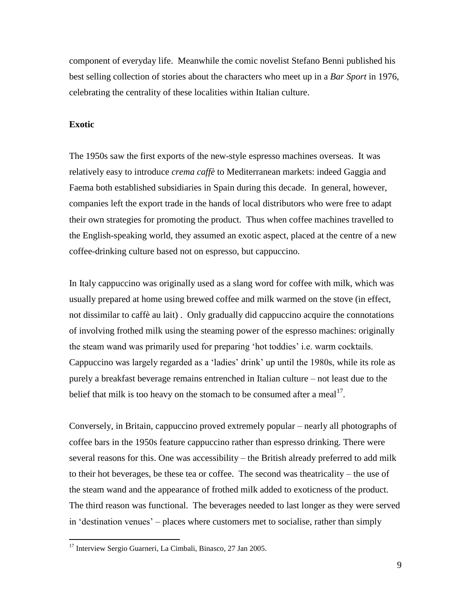component of everyday life. Meanwhile the comic novelist Stefano Benni published his best selling collection of stories about the characters who meet up in a *Bar Sport* in 1976, celebrating the centrality of these localities within Italian culture.

# **Exotic**

 $\overline{a}$ 

The 1950s saw the first exports of the new-style espresso machines overseas. It was relatively easy to introduce *crema caffè* to Mediterranean markets: indeed Gaggia and Faema both established subsidiaries in Spain during this decade. In general, however, companies left the export trade in the hands of local distributors who were free to adapt their own strategies for promoting the product. Thus when coffee machines travelled to the English-speaking world, they assumed an exotic aspect, placed at the centre of a new coffee-drinking culture based not on espresso, but cappuccino.

In Italy cappuccino was originally used as a slang word for coffee with milk, which was usually prepared at home using brewed coffee and milk warmed on the stove (in effect, not dissimilar to caffè au lait) . Only gradually did cappuccino acquire the connotations of involving frothed milk using the steaming power of the espresso machines: originally the steam wand was primarily used for preparing 'hot toddies' i.e. warm cocktails. Cappuccino was largely regarded as a 'ladies' drink' up until the 1980s, while its role as purely a breakfast beverage remains entrenched in Italian culture – not least due to the belief that milk is too heavy on the stomach to be consumed after a meal<sup>17</sup>.

Conversely, in Britain, cappuccino proved extremely popular – nearly all photographs of coffee bars in the 1950s feature cappuccino rather than espresso drinking. There were several reasons for this. One was accessibility – the British already preferred to add milk to their hot beverages, be these tea or coffee. The second was theatricality – the use of the steam wand and the appearance of frothed milk added to exoticness of the product. The third reason was functional. The beverages needed to last longer as they were served in 'destination venues' – places where customers met to socialise, rather than simply

<sup>&</sup>lt;sup>17</sup> Interview Sergio Guarneri, La Cimbali, Binasco, 27 Jan 2005.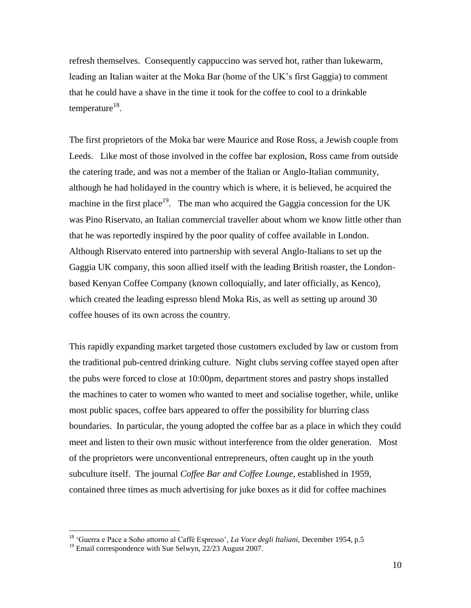refresh themselves. Consequently cappuccino was served hot, rather than lukewarm, leading an Italian waiter at the Moka Bar (home of the UK's first Gaggia) to comment that he could have a shave in the time it took for the coffee to cool to a drinkable temperature $^{18}$ .

The first proprietors of the Moka bar were Maurice and Rose Ross, a Jewish couple from Leeds. Like most of those involved in the coffee bar explosion, Ross came from outside the catering trade, and was not a member of the Italian or Anglo-Italian community, although he had holidayed in the country which is where, it is believed, he acquired the machine in the first place<sup>19</sup>. The man who acquired the Gaggia concession for the UK was Pino Riservato, an Italian commercial traveller about whom we know little other than that he was reportedly inspired by the poor quality of coffee available in London. Although Riservato entered into partnership with several Anglo-Italians to set up the Gaggia UK company, this soon allied itself with the leading British roaster, the Londonbased Kenyan Coffee Company (known colloquially, and later officially, as Kenco), which created the leading espresso blend Moka Ris, as well as setting up around 30 coffee houses of its own across the country.

This rapidly expanding market targeted those customers excluded by law or custom from the traditional pub-centred drinking culture. Night clubs serving coffee stayed open after the pubs were forced to close at 10:00pm, department stores and pastry shops installed the machines to cater to women who wanted to meet and socialise together, while, unlike most public spaces, coffee bars appeared to offer the possibility for blurring class boundaries. In particular, the young adopted the coffee bar as a place in which they could meet and listen to their own music without interference from the older generation. Most of the proprietors were unconventional entrepreneurs, often caught up in the youth subculture itself. The journal *Coffee Bar and Coffee Lounge*, established in 1959, contained three times as much advertising for juke boxes as it did for coffee machines

<sup>18</sup> 'Guerra e Pace a Soho attorno al Caffè Espresso', *La Voce degli Italiani*, December 1954, p.5

<sup>&</sup>lt;sup>19</sup> Email correspondence with Sue Selwyn, 22/23 August 2007.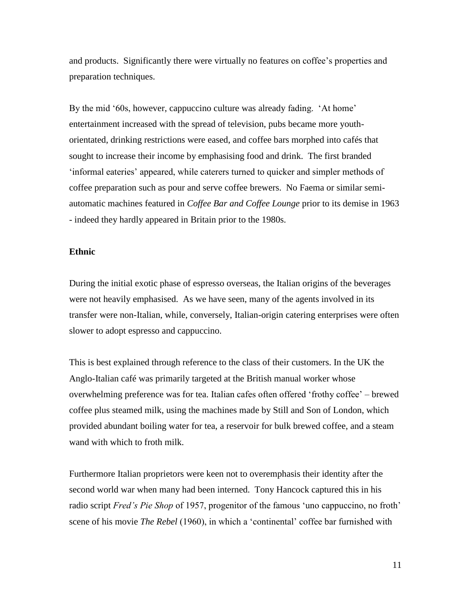and products. Significantly there were virtually no features on coffee's properties and preparation techniques.

By the mid '60s, however, cappuccino culture was already fading. 'At home' entertainment increased with the spread of television, pubs became more youthorientated, drinking restrictions were eased, and coffee bars morphed into cafés that sought to increase their income by emphasising food and drink. The first branded 'informal eateries' appeared, while caterers turned to quicker and simpler methods of coffee preparation such as pour and serve coffee brewers. No Faema or similar semiautomatic machines featured in *Coffee Bar and Coffee Lounge* prior to its demise in 1963 - indeed they hardly appeared in Britain prior to the 1980s.

#### **Ethnic**

During the initial exotic phase of espresso overseas, the Italian origins of the beverages were not heavily emphasised. As we have seen, many of the agents involved in its transfer were non-Italian, while, conversely, Italian-origin catering enterprises were often slower to adopt espresso and cappuccino.

This is best explained through reference to the class of their customers. In the UK the Anglo-Italian café was primarily targeted at the British manual worker whose overwhelming preference was for tea. Italian cafes often offered 'frothy coffee' – brewed coffee plus steamed milk, using the machines made by Still and Son of London, which provided abundant boiling water for tea, a reservoir for bulk brewed coffee, and a steam wand with which to froth milk.

Furthermore Italian proprietors were keen not to overemphasis their identity after the second world war when many had been interned. Tony Hancock captured this in his radio script *Fred's Pie Shop* of 1957, progenitor of the famous 'uno cappuccino, no froth' scene of his movie *The Rebel* (1960), in which a 'continental' coffee bar furnished with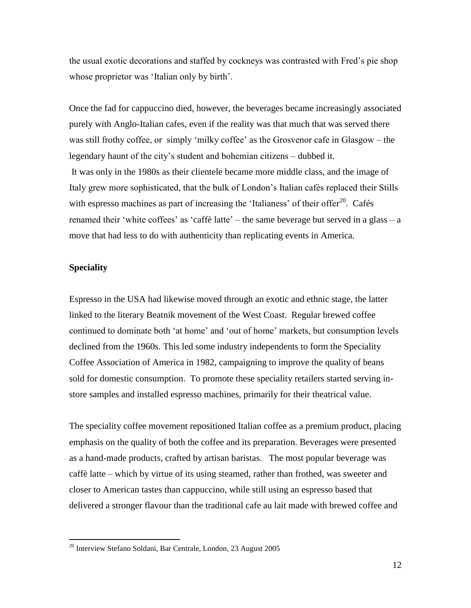the usual exotic decorations and staffed by cockneys was contrasted with Fred's pie shop whose proprietor was 'Italian only by birth'.

Once the fad for cappuccino died, however, the beverages became increasingly associated purely with Anglo-Italian cafes, even if the reality was that much that was served there was still frothy coffee, or simply 'milky coffee' as the Grosvenor cafe in Glasgow – the legendary haunt of the city's student and bohemian citizens – dubbed it. It was only in the 1980s as their clientele became more middle class, and the image of Italy grew more sophisticated, that the bulk of London's Italian cafés replaced their Stills with espresso machines as part of increasing the 'Italianess' of their offer $^{20}$ . Cafés renamed their 'white coffees' as 'caffè latte' – the same beverage but served in a glass – a move that had less to do with authenticity than replicating events in America.

# **Speciality**

 $\overline{a}$ 

Espresso in the USA had likewise moved through an exotic and ethnic stage, the latter linked to the literary Beatnik movement of the West Coast. Regular brewed coffee continued to dominate both 'at home' and 'out of home' markets, but consumption levels declined from the 1960s. This led some industry independents to form the Speciality Coffee Association of America in 1982, campaigning to improve the quality of beans sold for domestic consumption. To promote these speciality retailers started serving instore samples and installed espresso machines, primarily for their theatrical value.

The speciality coffee movement repositioned Italian coffee as a premium product, placing emphasis on the quality of both the coffee and its preparation. Beverages were presented as a hand-made products, crafted by artisan baristas. The most popular beverage was caffè latte – which by virtue of its using steamed, rather than frothed, was sweeter and closer to American tastes than cappuccino, while still using an espresso based that delivered a stronger flavour than the traditional cafe au lait made with brewed coffee and

<sup>20</sup> Interview Stefano Soldani, Bar Centrale, London, 23 August 2005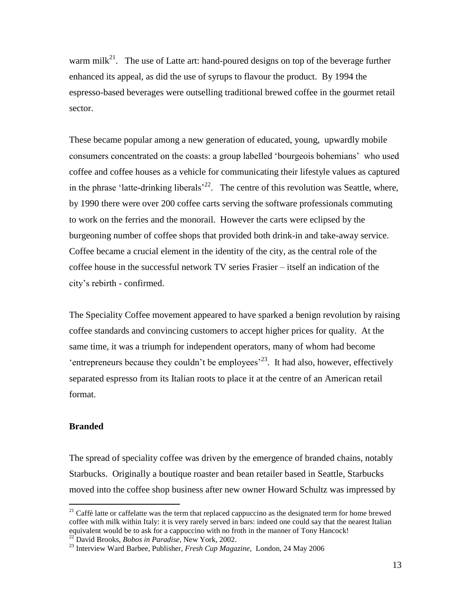warm mil $k^{21}$ . The use of Latte art: hand-poured designs on top of the beverage further enhanced its appeal, as did the use of syrups to flavour the product. By 1994 the espresso-based beverages were outselling traditional brewed coffee in the gourmet retail sector.

These became popular among a new generation of educated, young, upwardly mobile consumers concentrated on the coasts: a group labelled 'bourgeois bohemians' who used coffee and coffee houses as a vehicle for communicating their lifestyle values as captured in the phrase 'latte-drinking liberals<sup> $22$ </sup>. The centre of this revolution was Seattle, where, by 1990 there were over 200 coffee carts serving the software professionals commuting to work on the ferries and the monorail. However the carts were eclipsed by the burgeoning number of coffee shops that provided both drink-in and take-away service. Coffee became a crucial element in the identity of the city, as the central role of the coffee house in the successful network TV series Frasier – itself an indication of the city's rebirth - confirmed.

The Speciality Coffee movement appeared to have sparked a benign revolution by raising coffee standards and convincing customers to accept higher prices for quality. At the same time, it was a triumph for independent operators, many of whom had become 'entrepreneurs because they couldn't be employees<sup> $23$ </sup>. It had also, however, effectively separated espresso from its Italian roots to place it at the centre of an American retail format.

# **Branded**

 $\overline{a}$ 

The spread of speciality coffee was driven by the emergence of branded chains, notably Starbucks. Originally a boutique roaster and bean retailer based in Seattle, Starbucks moved into the coffee shop business after new owner Howard Schultz was impressed by

 $21$  Caffè latte or caffelatte was the term that replaced cappuccino as the designated term for home brewed coffee with milk within Italy: it is very rarely served in bars: indeed one could say that the nearest Italian equivalent would be to ask for a cappuccino with no froth in the manner of Tony Hancock! <sup>22</sup> David Brooks, *Bobos in Paradise*, New York, 2002.

<sup>23</sup> Interview Ward Barbee, Publisher, *Fresh Cup Magazine,* London, 24 May 2006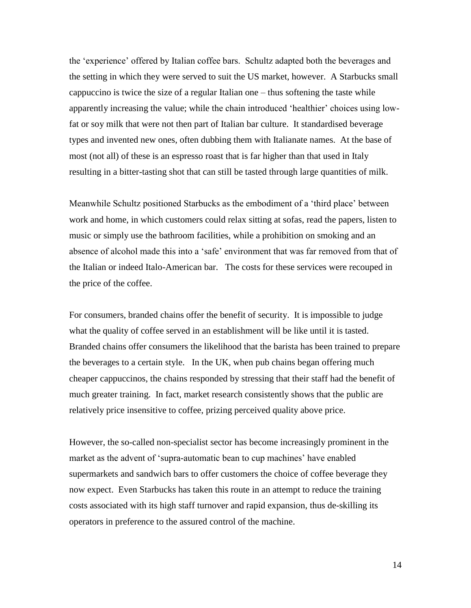the 'experience' offered by Italian coffee bars. Schultz adapted both the beverages and the setting in which they were served to suit the US market, however. A Starbucks small cappuccino is twice the size of a regular Italian one – thus softening the taste while apparently increasing the value; while the chain introduced 'healthier' choices using lowfat or soy milk that were not then part of Italian bar culture. It standardised beverage types and invented new ones, often dubbing them with Italianate names. At the base of most (not all) of these is an espresso roast that is far higher than that used in Italy resulting in a bitter-tasting shot that can still be tasted through large quantities of milk.

Meanwhile Schultz positioned Starbucks as the embodiment of a 'third place' between work and home, in which customers could relax sitting at sofas, read the papers, listen to music or simply use the bathroom facilities, while a prohibition on smoking and an absence of alcohol made this into a 'safe' environment that was far removed from that of the Italian or indeed Italo-American bar. The costs for these services were recouped in the price of the coffee.

For consumers, branded chains offer the benefit of security. It is impossible to judge what the quality of coffee served in an establishment will be like until it is tasted. Branded chains offer consumers the likelihood that the barista has been trained to prepare the beverages to a certain style. In the UK, when pub chains began offering much cheaper cappuccinos, the chains responded by stressing that their staff had the benefit of much greater training. In fact, market research consistently shows that the public are relatively price insensitive to coffee, prizing perceived quality above price.

However, the so-called non-specialist sector has become increasingly prominent in the market as the advent of 'supra-automatic bean to cup machines' have enabled supermarkets and sandwich bars to offer customers the choice of coffee beverage they now expect. Even Starbucks has taken this route in an attempt to reduce the training costs associated with its high staff turnover and rapid expansion, thus de-skilling its operators in preference to the assured control of the machine.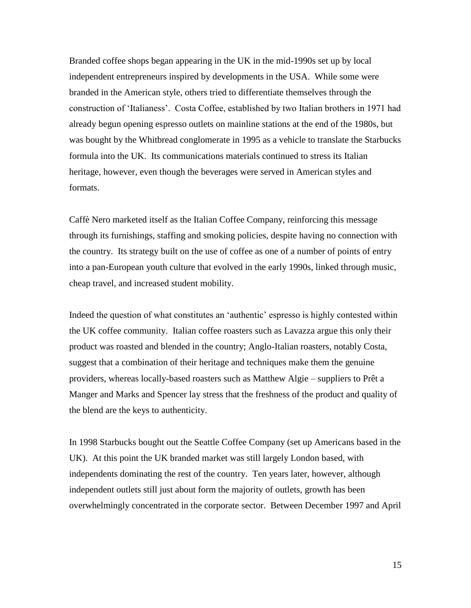Branded coffee shops began appearing in the UK in the mid-1990s set up by local independent entrepreneurs inspired by developments in the USA. While some were branded in the American style, others tried to differentiate themselves through the construction of 'Italianess'. Costa Coffee, established by two Italian brothers in 1971 had already begun opening espresso outlets on mainline stations at the end of the 1980s, but was bought by the Whitbread conglomerate in 1995 as a vehicle to translate the Starbucks formula into the UK. Its communications materials continued to stress its Italian heritage, however, even though the beverages were served in American styles and formats.

Caffè Nero marketed itself as the Italian Coffee Company, reinforcing this message through its furnishings, staffing and smoking policies, despite having no connection with the country. Its strategy built on the use of coffee as one of a number of points of entry into a pan-European youth culture that evolved in the early 1990s, linked through music, cheap travel, and increased student mobility.

Indeed the question of what constitutes an 'authentic' espresso is highly contested within the UK coffee community. Italian coffee roasters such as Lavazza argue this only their product was roasted and blended in the country; Anglo-Italian roasters, notably Costa, suggest that a combination of their heritage and techniques make them the genuine providers, whereas locally-based roasters such as Matthew Algie – suppliers to Prêt a Manger and Marks and Spencer lay stress that the freshness of the product and quality of the blend are the keys to authenticity.

In 1998 Starbucks bought out the Seattle Coffee Company (set up Americans based in the UK). At this point the UK branded market was still largely London based, with independents dominating the rest of the country. Ten years later, however, although independent outlets still just about form the majority of outlets, growth has been overwhelmingly concentrated in the corporate sector. Between December 1997 and April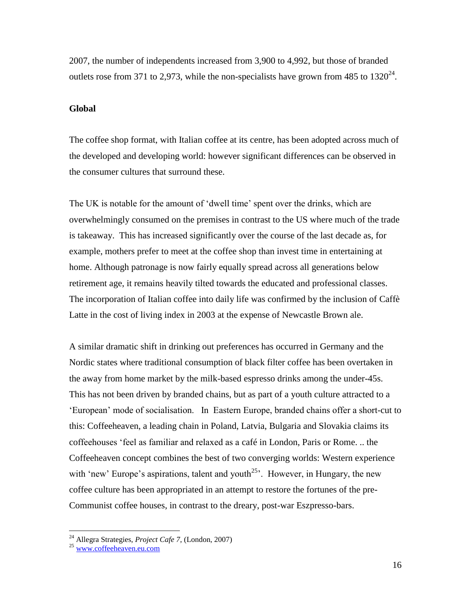2007, the number of independents increased from 3,900 to 4,992, but those of branded outlets rose from 371 to 2,973, while the non-specialists have grown from 485 to  $1320^{24}$ .

#### **Global**

The coffee shop format, with Italian coffee at its centre, has been adopted across much of the developed and developing world: however significant differences can be observed in the consumer cultures that surround these.

The UK is notable for the amount of 'dwell time' spent over the drinks, which are overwhelmingly consumed on the premises in contrast to the US where much of the trade is takeaway. This has increased significantly over the course of the last decade as, for example, mothers prefer to meet at the coffee shop than invest time in entertaining at home. Although patronage is now fairly equally spread across all generations below retirement age, it remains heavily tilted towards the educated and professional classes. The incorporation of Italian coffee into daily life was confirmed by the inclusion of Caffè Latte in the cost of living index in 2003 at the expense of Newcastle Brown ale.

A similar dramatic shift in drinking out preferences has occurred in Germany and the Nordic states where traditional consumption of black filter coffee has been overtaken in the away from home market by the milk-based espresso drinks among the under-45s. This has not been driven by branded chains, but as part of a youth culture attracted to a 'European' mode of socialisation. In Eastern Europe, branded chains offer a short-cut to this: Coffeeheaven, a leading chain in Poland, Latvia, Bulgaria and Slovakia claims its coffeehouses 'feel as familiar and relaxed as a café in London, Paris or Rome. .. the Coffeeheaven concept combines the best of two converging worlds: Western experience with 'new' Europe's aspirations, talent and youth<sup>25</sup>. However, in Hungary, the new coffee culture has been appropriated in an attempt to restore the fortunes of the pre-Communist coffee houses, in contrast to the dreary, post-war Eszpresso-bars.

<sup>24</sup> Allegra Strategies, *Project Cafe 7*, (London, 2007)

<sup>25</sup> [www.coffeeheaven.eu.com](http://www.coffeeheaven.eu.com/)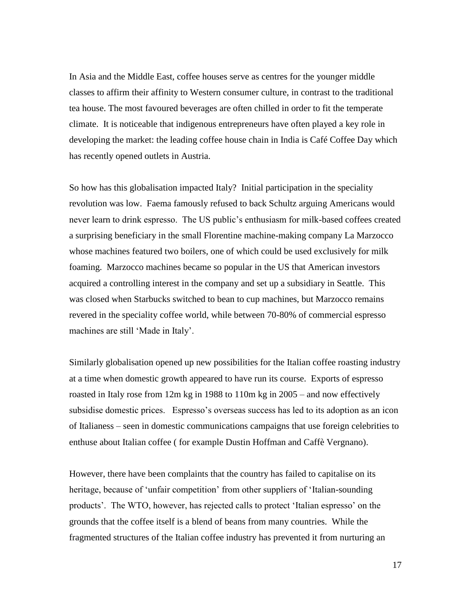In Asia and the Middle East, coffee houses serve as centres for the younger middle classes to affirm their affinity to Western consumer culture, in contrast to the traditional tea house. The most favoured beverages are often chilled in order to fit the temperate climate. It is noticeable that indigenous entrepreneurs have often played a key role in developing the market: the leading coffee house chain in India is Café Coffee Day which has recently opened outlets in Austria.

So how has this globalisation impacted Italy? Initial participation in the speciality revolution was low. Faema famously refused to back Schultz arguing Americans would never learn to drink espresso. The US public's enthusiasm for milk-based coffees created a surprising beneficiary in the small Florentine machine-making company La Marzocco whose machines featured two boilers, one of which could be used exclusively for milk foaming. Marzocco machines became so popular in the US that American investors acquired a controlling interest in the company and set up a subsidiary in Seattle. This was closed when Starbucks switched to bean to cup machines, but Marzocco remains revered in the speciality coffee world, while between 70-80% of commercial espresso machines are still 'Made in Italy'.

Similarly globalisation opened up new possibilities for the Italian coffee roasting industry at a time when domestic growth appeared to have run its course. Exports of espresso roasted in Italy rose from 12m kg in 1988 to 110m kg in 2005 – and now effectively subsidise domestic prices. Espresso's overseas success has led to its adoption as an icon of Italianess – seen in domestic communications campaigns that use foreign celebrities to enthuse about Italian coffee ( for example Dustin Hoffman and Caffè Vergnano).

However, there have been complaints that the country has failed to capitalise on its heritage, because of 'unfair competition' from other suppliers of 'Italian-sounding products'. The WTO, however, has rejected calls to protect 'Italian espresso' on the grounds that the coffee itself is a blend of beans from many countries. While the fragmented structures of the Italian coffee industry has prevented it from nurturing an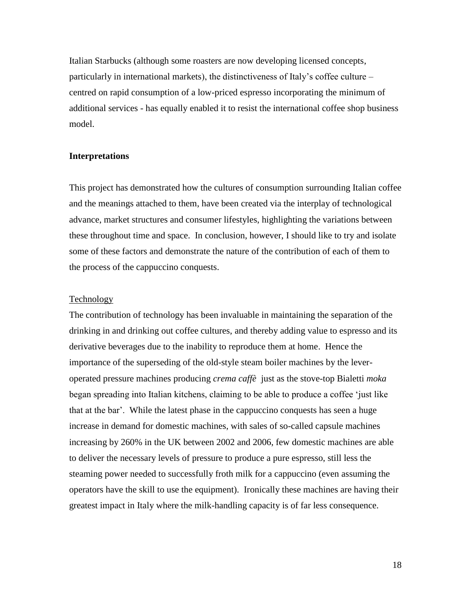Italian Starbucks (although some roasters are now developing licensed concepts, particularly in international markets), the distinctiveness of Italy's coffee culture – centred on rapid consumption of a low-priced espresso incorporating the minimum of additional services - has equally enabled it to resist the international coffee shop business model.

#### **Interpretations**

This project has demonstrated how the cultures of consumption surrounding Italian coffee and the meanings attached to them, have been created via the interplay of technological advance, market structures and consumer lifestyles, highlighting the variations between these throughout time and space. In conclusion, however, I should like to try and isolate some of these factors and demonstrate the nature of the contribution of each of them to the process of the cappuccino conquests.

## **Technology**

The contribution of technology has been invaluable in maintaining the separation of the drinking in and drinking out coffee cultures, and thereby adding value to espresso and its derivative beverages due to the inability to reproduce them at home. Hence the importance of the superseding of the old-style steam boiler machines by the leveroperated pressure machines producing *crema caffè* just as the stove-top Bialetti *moka* began spreading into Italian kitchens, claiming to be able to produce a coffee 'just like that at the bar'. While the latest phase in the cappuccino conquests has seen a huge increase in demand for domestic machines, with sales of so-called capsule machines increasing by 260% in the UK between 2002 and 2006, few domestic machines are able to deliver the necessary levels of pressure to produce a pure espresso, still less the steaming power needed to successfully froth milk for a cappuccino (even assuming the operators have the skill to use the equipment). Ironically these machines are having their greatest impact in Italy where the milk-handling capacity is of far less consequence.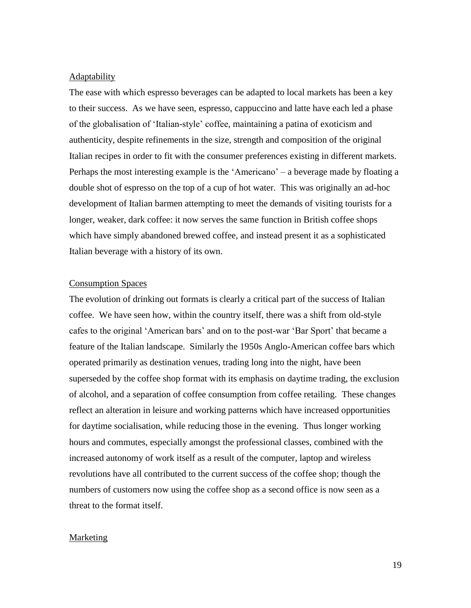#### Adaptability

The ease with which espresso beverages can be adapted to local markets has been a key to their success. As we have seen, espresso, cappuccino and latte have each led a phase of the globalisation of 'Italian-style' coffee, maintaining a patina of exoticism and authenticity, despite refinements in the size, strength and composition of the original Italian recipes in order to fit with the consumer preferences existing in different markets. Perhaps the most interesting example is the 'Americano' – a beverage made by floating a double shot of espresso on the top of a cup of hot water. This was originally an ad-hoc development of Italian barmen attempting to meet the demands of visiting tourists for a longer, weaker, dark coffee: it now serves the same function in British coffee shops which have simply abandoned brewed coffee, and instead present it as a sophisticated Italian beverage with a history of its own.

## Consumption Spaces

The evolution of drinking out formats is clearly a critical part of the success of Italian coffee. We have seen how, within the country itself, there was a shift from old-style cafes to the original 'American bars' and on to the post-war 'Bar Sport' that became a feature of the Italian landscape. Similarly the 1950s Anglo-American coffee bars which operated primarily as destination venues, trading long into the night, have been superseded by the coffee shop format with its emphasis on daytime trading, the exclusion of alcohol, and a separation of coffee consumption from coffee retailing. These changes reflect an alteration in leisure and working patterns which have increased opportunities for daytime socialisation, while reducing those in the evening. Thus longer working hours and commutes, especially amongst the professional classes, combined with the increased autonomy of work itself as a result of the computer, laptop and wireless revolutions have all contributed to the current success of the coffee shop; though the numbers of customers now using the coffee shop as a second office is now seen as a threat to the format itself.

## **Marketing**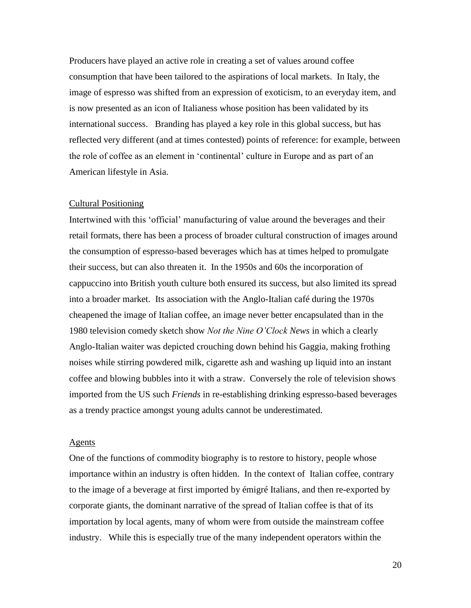Producers have played an active role in creating a set of values around coffee consumption that have been tailored to the aspirations of local markets. In Italy, the image of espresso was shifted from an expression of exoticism, to an everyday item, and is now presented as an icon of Italianess whose position has been validated by its international success. Branding has played a key role in this global success, but has reflected very different (and at times contested) points of reference: for example, between the role of coffee as an element in 'continental' culture in Europe and as part of an American lifestyle in Asia.

#### Cultural Positioning

Intertwined with this 'official' manufacturing of value around the beverages and their retail formats, there has been a process of broader cultural construction of images around the consumption of espresso-based beverages which has at times helped to promulgate their success, but can also threaten it. In the 1950s and 60s the incorporation of cappuccino into British youth culture both ensured its success, but also limited its spread into a broader market. Its association with the Anglo-Italian café during the 1970s cheapened the image of Italian coffee, an image never better encapsulated than in the 1980 television comedy sketch show *Not the Nine O'Clock News* in which a clearly Anglo-Italian waiter was depicted crouching down behind his Gaggia, making frothing noises while stirring powdered milk, cigarette ash and washing up liquid into an instant coffee and blowing bubbles into it with a straw. Conversely the role of television shows imported from the US such *Friends* in re-establishing drinking espresso-based beverages as a trendy practice amongst young adults cannot be underestimated.

#### Agents

One of the functions of commodity biography is to restore to history, people whose importance within an industry is often hidden. In the context of Italian coffee, contrary to the image of a beverage at first imported by émigré Italians, and then re-exported by corporate giants, the dominant narrative of the spread of Italian coffee is that of its importation by local agents, many of whom were from outside the mainstream coffee industry. While this is especially true of the many independent operators within the

20